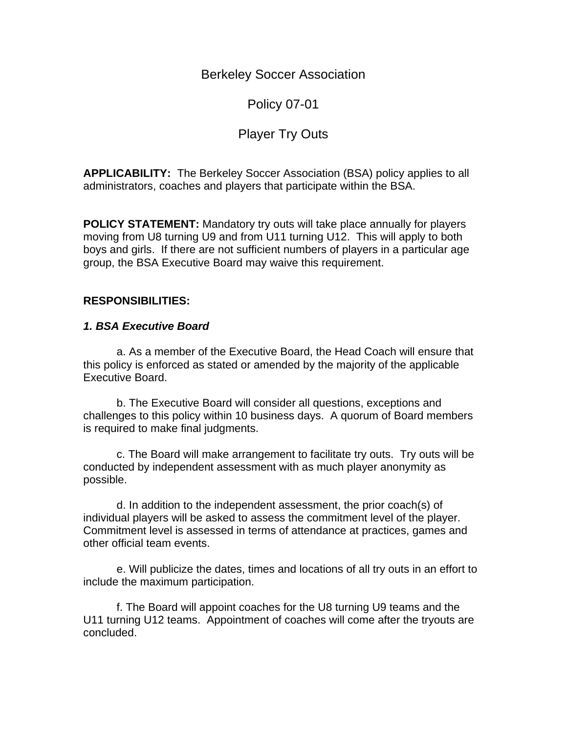Berkeley Soccer Association

Policy 07-01

# Player Try Outs

**APPLICABILITY:** The Berkeley Soccer Association (BSA) policy applies to all administrators, coaches and players that participate within the BSA.

**POLICY STATEMENT:** Mandatory try outs will take place annually for players moving from U8 turning U9 and from U11 turning U12. This will apply to both boys and girls. If there are not sufficient numbers of players in a particular age group, the BSA Executive Board may waive this requirement.

## **RESPONSIBILITIES:**

### *1. BSA Executive Board*

 a. As a member of the Executive Board, the Head Coach will ensure that this policy is enforced as stated or amended by the majority of the applicable Executive Board.

 b. The Executive Board will consider all questions, exceptions and challenges to this policy within 10 business days. A quorum of Board members is required to make final judgments.

 c. The Board will make arrangement to facilitate try outs. Try outs will be conducted by independent assessment with as much player anonymity as possible.

 d. In addition to the independent assessment, the prior coach(s) of individual players will be asked to assess the commitment level of the player. Commitment level is assessed in terms of attendance at practices, games and other official team events.

 e. Will publicize the dates, times and locations of all try outs in an effort to include the maximum participation.

 f. The Board will appoint coaches for the U8 turning U9 teams and the U11 turning U12 teams. Appointment of coaches will come after the tryouts are concluded.